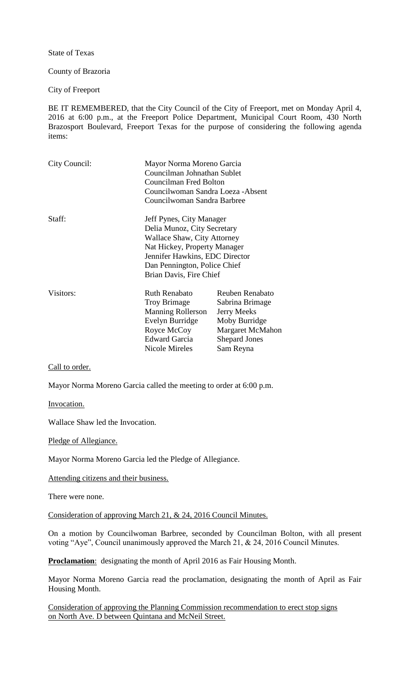State of Texas

County of Brazoria

City of Freeport

BE IT REMEMBERED, that the City Council of the City of Freeport, met on Monday April 4, 2016 at 6:00 p.m., at the Freeport Police Department, Municipal Court Room, 430 North Brazosport Boulevard, Freeport Texas for the purpose of considering the following agenda items:

| City Council: | Mayor Norma Moreno Garcia<br>Councilman Johnathan Sublet<br>Councilman Fred Bolton<br>Councilwoman Sandra Loeza - Absent<br>Councilwoman Sandra Barbree |                         |
|---------------|---------------------------------------------------------------------------------------------------------------------------------------------------------|-------------------------|
| Staff:        | Jeff Pynes, City Manager<br>Delia Munoz, City Secretary                                                                                                 |                         |
|               | <b>Wallace Shaw, City Attorney</b>                                                                                                                      |                         |
|               |                                                                                                                                                         |                         |
|               | Nat Hickey, Property Manager                                                                                                                            |                         |
|               | Jennifer Hawkins, EDC Director                                                                                                                          |                         |
|               | Dan Pennington, Police Chief                                                                                                                            |                         |
|               | Brian Davis, Fire Chief                                                                                                                                 |                         |
| Visitors:     | <b>Ruth Renabato</b>                                                                                                                                    | <b>Reuben Renabato</b>  |
|               | <b>Troy Brimage</b>                                                                                                                                     | Sabrina Brimage         |
|               | <b>Manning Rollerson</b>                                                                                                                                | <b>Jerry Meeks</b>      |
|               | Evelyn Burridge                                                                                                                                         | Moby Burridge           |
|               | Royce McCoy                                                                                                                                             | <b>Margaret McMahon</b> |
|               | <b>Edward Garcia</b>                                                                                                                                    | <b>Shepard Jones</b>    |
|               | Nicole Mireles                                                                                                                                          | Sam Reyna               |

Call to order.

Mayor Norma Moreno Garcia called the meeting to order at 6:00 p.m.

Invocation.

Wallace Shaw led the Invocation.

Pledge of Allegiance.

Mayor Norma Moreno Garcia led the Pledge of Allegiance.

Attending citizens and their business.

There were none.

Consideration of approving March 21, & 24, 2016 Council Minutes.

On a motion by Councilwoman Barbree, seconded by Councilman Bolton, with all present voting "Aye", Council unanimously approved the March 21, & 24, 2016 Council Minutes.

**Proclamation**: designating the month of April 2016 as Fair Housing Month.

Mayor Norma Moreno Garcia read the proclamation, designating the month of April as Fair Housing Month.

Consideration of approving the Planning Commission recommendation to erect stop signs on North Ave. D between Quintana and McNeil Street.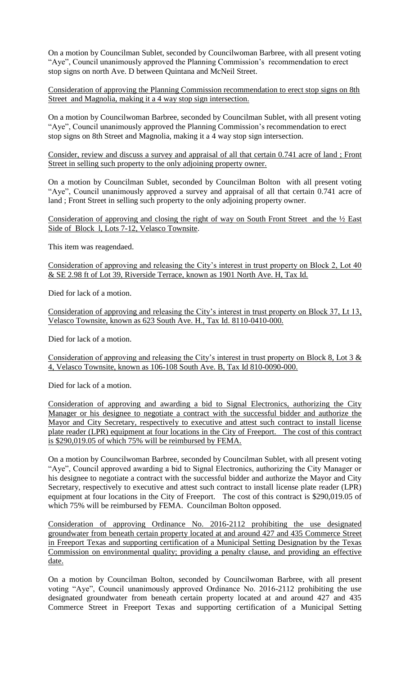On a motion by Councilman Sublet, seconded by Councilwoman Barbree, with all present voting "Aye", Council unanimously approved the Planning Commission's recommendation to erect stop signs on north Ave. D between Quintana and McNeil Street.

Consideration of approving the Planning Commission recommendation to erect stop signs on 8th Street and Magnolia, making it a 4 way stop sign intersection.

On a motion by Councilwoman Barbree, seconded by Councilman Sublet, with all present voting "Aye", Council unanimously approved the Planning Commission's recommendation to erect stop signs on 8th Street and Magnolia, making it a 4 way stop sign intersection.

Consider, review and discuss a survey and appraisal of all that certain 0.741 acre of land ; Front Street in selling such property to the only adjoining property owner.

On a motion by Councilman Sublet, seconded by Councilman Bolton with all present voting "Aye", Council unanimously approved a survey and appraisal of all that certain 0.741 acre of land ; Front Street in selling such property to the only adjoining property owner.

Consideration of approving and closing the right of way on South Front Street and the ½ East Side of Block l, Lots 7-12, Velasco Townsite.

This item was reagendaed.

Consideration of approving and releasing the City's interest in trust property on Block 2, Lot 40 & SE 2.98 ft of Lot 39, Riverside Terrace, known as 1901 North Ave. H, Tax Id.

Died for lack of a motion.

Consideration of approving and releasing the City's interest in trust property on Block 37, Lt 13, Velasco Townsite, known as 623 South Ave. H., Tax Id. 8110-0410-000.

Died for lack of a motion.

Consideration of approving and releasing the City's interest in trust property on Block 8, Lot 3 & 4, Velasco Townsite, known as 106-108 South Ave. B, Tax Id 810-0090-000.

Died for lack of a motion.

Consideration of approving and awarding a bid to Signal Electronics, authorizing the City Manager or his designee to negotiate a contract with the successful bidder and authorize the Mayor and City Secretary, respectively to executive and attest such contract to install license plate reader (LPR) equipment at four locations in the City of Freeport. The cost of this contract is \$290,019.05 of which 75% will be reimbursed by FEMA.

On a motion by Councilwoman Barbree, seconded by Councilman Sublet, with all present voting "Aye", Council approved awarding a bid to Signal Electronics, authorizing the City Manager or his designee to negotiate a contract with the successful bidder and authorize the Mayor and City Secretary, respectively to executive and attest such contract to install license plate reader (LPR) equipment at four locations in the City of Freeport. The cost of this contract is \$290,019.05 of which 75% will be reimbursed by FEMA. Councilman Bolton opposed.

Consideration of approving Ordinance No. 2016-2112 prohibiting the use designated groundwater from beneath certain property located at and around 427 and 435 Commerce Street in Freeport Texas and supporting certification of a Municipal Setting Designation by the Texas Commission on environmental quality; providing a penalty clause, and providing an effective date.

On a motion by Councilman Bolton, seconded by Councilwoman Barbree, with all present voting "Aye", Council unanimously approved Ordinance No. 2016-2112 prohibiting the use designated groundwater from beneath certain property located at and around 427 and 435 Commerce Street in Freeport Texas and supporting certification of a Municipal Setting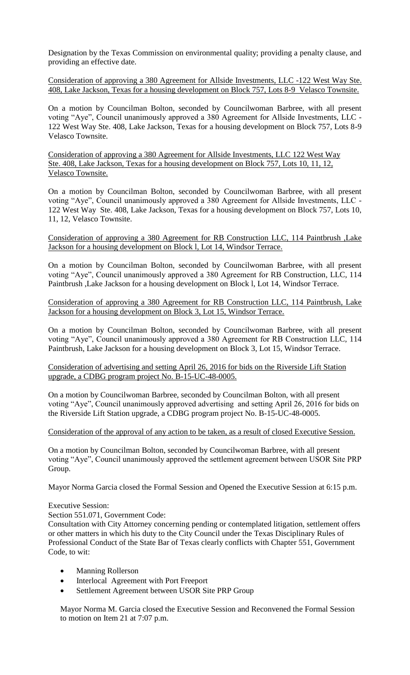Designation by the Texas Commission on environmental quality; providing a penalty clause, and providing an effective date.

Consideration of approving a 380 Agreement for Allside Investments, LLC -122 West Way Ste. 408, Lake Jackson, Texas for a housing development on Block 757, Lots 8-9 Velasco Townsite.

On a motion by Councilman Bolton, seconded by Councilwoman Barbree, with all present voting "Aye", Council unanimously approved a 380 Agreement for Allside Investments, LLC - 122 West Way Ste. 408, Lake Jackson, Texas for a housing development on Block 757, Lots 8-9 Velasco Townsite.

Consideration of approving a 380 Agreement for Allside Investments, LLC 122 West Way Ste. 408, Lake Jackson, Texas for a housing development on Block 757, Lots 10, 11, 12, Velasco Townsite.

On a motion by Councilman Bolton, seconded by Councilwoman Barbree, with all present voting "Aye", Council unanimously approved a 380 Agreement for Allside Investments, LLC - 122 West Way Ste. 408, Lake Jackson, Texas for a housing development on Block 757, Lots 10, 11, 12, Velasco Townsite.

Consideration of approving a 380 Agreement for RB Construction LLC, 114 Paintbrush ,Lake Jackson for a housing development on Block l, Lot 14, Windsor Terrace.

On a motion by Councilman Bolton, seconded by Councilwoman Barbree, with all present voting "Aye", Council unanimously approved a 380 Agreement for RB Construction, LLC, 114 Paintbrush ,Lake Jackson for a housing development on Block l, Lot 14, Windsor Terrace.

Consideration of approving a 380 Agreement for RB Construction LLC, 114 Paintbrush, Lake Jackson for a housing development on Block 3, Lot 15, Windsor Terrace.

On a motion by Councilman Bolton, seconded by Councilwoman Barbree, with all present voting "Aye", Council unanimously approved a 380 Agreement for RB Construction LLC, 114 Paintbrush, Lake Jackson for a housing development on Block 3, Lot 15, Windsor Terrace.

Consideration of advertising and setting April 26, 2016 for bids on the Riverside Lift Station upgrade, a CDBG program project No. B-15-UC-48-0005.

On a motion by Councilwoman Barbree, seconded by Councilman Bolton, with all present voting "Aye", Council unanimously approved advertising and setting April 26, 2016 for bids on the Riverside Lift Station upgrade, a CDBG program project No. B-15-UC-48-0005.

Consideration of the approval of any action to be taken, as a result of closed Executive Session.

On a motion by Councilman Bolton, seconded by Councilwoman Barbree, with all present voting "Aye", Council unanimously approved the settlement agreement between USOR Site PRP Group.

Mayor Norma Garcia closed the Formal Session and Opened the Executive Session at 6:15 p.m.

Executive Session:

Section 551.071, Government Code:

Consultation with City Attorney concerning pending or contemplated litigation, settlement offers or other matters in which his duty to the City Council under the Texas Disciplinary Rules of Professional Conduct of the State Bar of Texas clearly conflicts with Chapter 551, Government Code, to wit:

- Manning Rollerson
- Interlocal Agreement with Port Freeport
- Settlement Agreement between USOR Site PRP Group

Mayor Norma M. Garcia closed the Executive Session and Reconvened the Formal Session to motion on Item 21 at 7:07 p.m.